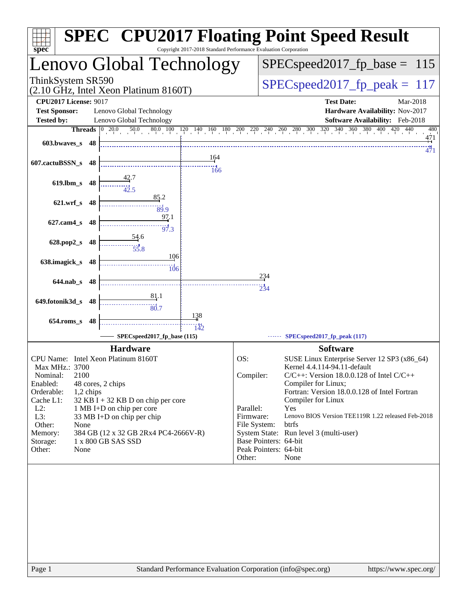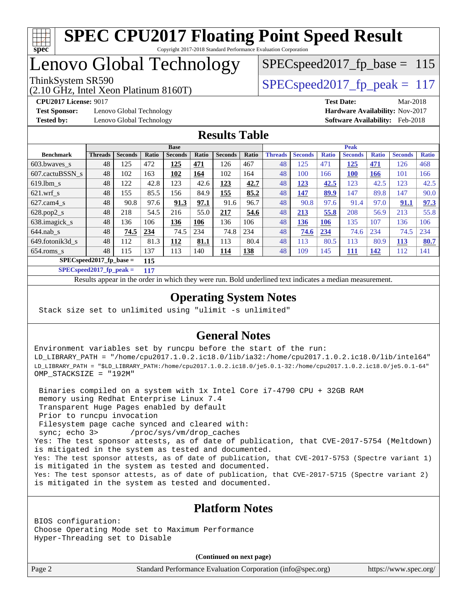

## Lenovo Global Technology

(2.10 GHz, Intel Xeon Platinum 8160T)

ThinkSystem SR590<br>  $SPEC speed2017$  fp\_peak = 117

SPECspeed2017 fp base =  $115$ 

**[Test Sponsor:](http://www.spec.org/auto/cpu2017/Docs/result-fields.html#TestSponsor)** Lenovo Global Technology **[Hardware Availability:](http://www.spec.org/auto/cpu2017/Docs/result-fields.html#HardwareAvailability)** Nov-2017 **[Tested by:](http://www.spec.org/auto/cpu2017/Docs/result-fields.html#Testedby)** Lenovo Global Technology **[Software Availability:](http://www.spec.org/auto/cpu2017/Docs/result-fields.html#SoftwareAvailability)** Feb-2018

**[CPU2017 License:](http://www.spec.org/auto/cpu2017/Docs/result-fields.html#CPU2017License)** 9017 **[Test Date:](http://www.spec.org/auto/cpu2017/Docs/result-fields.html#TestDate)** Mar-2018

#### **[Results Table](http://www.spec.org/auto/cpu2017/Docs/result-fields.html#ResultsTable)**

|                  | <b>Base</b>                      |                |       |                |            |                |            | <b>Peak</b>    |                |              |                |              |                |              |
|------------------|----------------------------------|----------------|-------|----------------|------------|----------------|------------|----------------|----------------|--------------|----------------|--------------|----------------|--------------|
| <b>Benchmark</b> | <b>Threads</b>                   | <b>Seconds</b> | Ratio | <b>Seconds</b> | Ratio      | <b>Seconds</b> | Ratio      | <b>Threads</b> | <b>Seconds</b> | <b>Ratio</b> | <b>Seconds</b> | <b>Ratio</b> | <b>Seconds</b> | <b>Ratio</b> |
| $603.bwaves$ s   | 48                               | 125            | 472   | 125            | 471        | 126            | 467        | 48             | 125            | 471          | 125            | 471          | 126            | 468          |
| 607.cactuBSSN s  | 48                               | 102            | 163   | 102            | <u>164</u> | 102            | 164        | 48             | 100            | 166          | <b>100</b>     | <b>166</b>   | 101            | 166          |
| $619.1$ bm s     | 48                               | 122            | 42.8  | 123            | 42.6       | <u>123</u>     | 42.7       | 48             | <u>123</u>     | 42.5         | 123            | 42.5         | 123            | 42.5         |
| $621$ .wrf s     | 48                               | 155            | 85.5  | 156            | 84.9       | 155            | 85.2       | 48             | 147            | 89.9         | 147            | 89.8         | 147            | 90.0         |
| $627$ .cam4 s    | 48                               | 90.8           | 97.6  | 91.3           | 97.1       | 91.6           | 96.7       | 48             | 90.8           | 97.6         | 91.4           | 97.0         | 91.1           | 97.3         |
| $628.pop2_s$     | 48                               | 218            | 54.5  | 216            | 55.0       | 217            | 54.6       | 48             | 213            | 55.8         | 208            | 56.9         | 213            | 55.8         |
| 638.imagick_s    | 48                               | 136            | 106   | 136            | 106        | 136            | 106        | 48             | 136            | <b>106</b>   | 135            | 107          | 136            | 106          |
| $644$ .nab s     | 48                               | 74.5           | 234   | 74.5           | 234        | 74.8           | 234        | 48             | 74.6           | 234          | 74.6           | 234          | 74.5           | 234          |
| 649.fotonik3d s  | 48                               | 112            | 81.3  | 112            | 81.1       | 113            | 80.4       | 48             | 113            | 80.5         | 113            | 80.9         | <u>113</u>     | 80.7         |
| $654$ .roms s    | 48                               | 115            | 137   | 113            | 140        | <u>114</u>     | <b>138</b> | 48             | 109            | 145          | <u>111</u>     | <u>142</u>   | 112            | 141          |
|                  | $SPECspeed2017$ fp base =<br>115 |                |       |                |            |                |            |                |                |              |                |              |                |              |

**[SPECspeed2017\\_fp\\_peak =](http://www.spec.org/auto/cpu2017/Docs/result-fields.html#SPECspeed2017fppeak) 117**

Results appear in the [order in which they were run.](http://www.spec.org/auto/cpu2017/Docs/result-fields.html#RunOrder) Bold underlined text [indicates a median measurement](http://www.spec.org/auto/cpu2017/Docs/result-fields.html#Median).

### **[Operating System Notes](http://www.spec.org/auto/cpu2017/Docs/result-fields.html#OperatingSystemNotes)**

Stack size set to unlimited using "ulimit -s unlimited"

### **[General Notes](http://www.spec.org/auto/cpu2017/Docs/result-fields.html#GeneralNotes)**

Environment variables set by runcpu before the start of the run: LD\_LIBRARY\_PATH = "/home/cpu2017.1.0.2.ic18.0/lib/ia32:/home/cpu2017.1.0.2.ic18.0/lib/intel64" LD\_LIBRARY\_PATH = "\$LD\_LIBRARY\_PATH:/home/cpu2017.1.0.2.ic18.0/je5.0.1-32:/home/cpu2017.1.0.2.ic18.0/je5.0.1-64" OMP\_STACKSIZE = "192M"

 Binaries compiled on a system with 1x Intel Core i7-4790 CPU + 32GB RAM memory using Redhat Enterprise Linux 7.4 Transparent Huge Pages enabled by default Prior to runcpu invocation Filesystem page cache synced and cleared with: sync; echo 3> /proc/sys/vm/drop\_caches Yes: The test sponsor attests, as of date of publication, that CVE-2017-5754 (Meltdown) is mitigated in the system as tested and documented. Yes: The test sponsor attests, as of date of publication, that CVE-2017-5753 (Spectre variant 1) is mitigated in the system as tested and documented. Yes: The test sponsor attests, as of date of publication, that CVE-2017-5715 (Spectre variant 2) is mitigated in the system as tested and documented.

#### **[Platform Notes](http://www.spec.org/auto/cpu2017/Docs/result-fields.html#PlatformNotes)**

BIOS configuration: Choose Operating Mode set to Maximum Performance Hyper-Threading set to Disable

**(Continued on next page)**

Page 2 Standard Performance Evaluation Corporation [\(info@spec.org\)](mailto:info@spec.org) <https://www.spec.org/>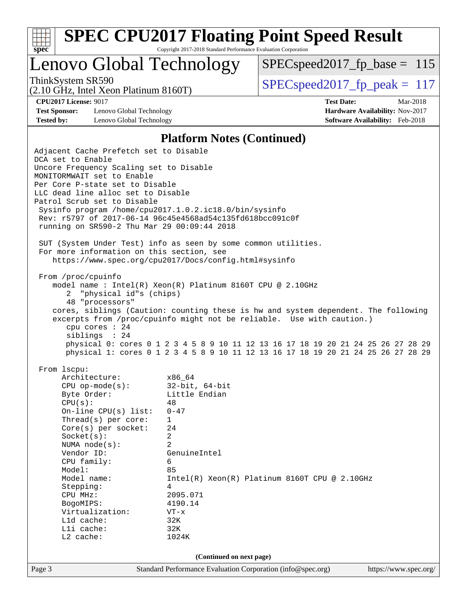

# **[SPEC CPU2017 Floating Point Speed Result](http://www.spec.org/auto/cpu2017/Docs/result-fields.html#SPECCPU2017FloatingPointSpeedResult)**

Copyright 2017-2018 Standard Performance Evaluation Corporation

## Lenovo Global Technology

[SPECspeed2017\\_fp\\_base =](http://www.spec.org/auto/cpu2017/Docs/result-fields.html#SPECspeed2017fpbase) 115

(2.10 GHz, Intel Xeon Platinum 8160T)

ThinkSystem SR590<br>  $(2.10 \text{ GHz})$  Intel Xeon Platinum 8160T) [SPECspeed2017\\_fp\\_peak =](http://www.spec.org/auto/cpu2017/Docs/result-fields.html#SPECspeed2017fppeak) 117

**[Test Sponsor:](http://www.spec.org/auto/cpu2017/Docs/result-fields.html#TestSponsor)** Lenovo Global Technology **[Hardware Availability:](http://www.spec.org/auto/cpu2017/Docs/result-fields.html#HardwareAvailability)** Nov-2017 **[Tested by:](http://www.spec.org/auto/cpu2017/Docs/result-fields.html#Testedby)** Lenovo Global Technology **[Software Availability:](http://www.spec.org/auto/cpu2017/Docs/result-fields.html#SoftwareAvailability)** Feb-2018

**[CPU2017 License:](http://www.spec.org/auto/cpu2017/Docs/result-fields.html#CPU2017License)** 9017 **[Test Date:](http://www.spec.org/auto/cpu2017/Docs/result-fields.html#TestDate)** Mar-2018

### **[Platform Notes \(Continued\)](http://www.spec.org/auto/cpu2017/Docs/result-fields.html#PlatformNotes)**

| Adjacent Cache Prefetch set to Disable<br>DCA set to Enable |                                                                                                                                                                        |                       |  |  |  |  |  |
|-------------------------------------------------------------|------------------------------------------------------------------------------------------------------------------------------------------------------------------------|-----------------------|--|--|--|--|--|
| Uncore Frequency Scaling set to Disable                     |                                                                                                                                                                        |                       |  |  |  |  |  |
| MONITORMWAIT set to Enable                                  |                                                                                                                                                                        |                       |  |  |  |  |  |
| Per Core P-state set to Disable                             |                                                                                                                                                                        |                       |  |  |  |  |  |
| LLC dead line alloc set to Disable                          |                                                                                                                                                                        |                       |  |  |  |  |  |
| Patrol Scrub set to Disable                                 |                                                                                                                                                                        |                       |  |  |  |  |  |
| Sysinfo program /home/cpu2017.1.0.2.ic18.0/bin/sysinfo      |                                                                                                                                                                        |                       |  |  |  |  |  |
|                                                             | Rev: r5797 of 2017-06-14 96c45e4568ad54c135fd618bcc091c0f                                                                                                              |                       |  |  |  |  |  |
| running on SR590-2 Thu Mar 29 00:09:44 2018                 |                                                                                                                                                                        |                       |  |  |  |  |  |
|                                                             |                                                                                                                                                                        |                       |  |  |  |  |  |
|                                                             | SUT (System Under Test) info as seen by some common utilities.                                                                                                         |                       |  |  |  |  |  |
| For more information on this section, see                   |                                                                                                                                                                        |                       |  |  |  |  |  |
|                                                             | https://www.spec.org/cpu2017/Docs/config.html#sysinfo                                                                                                                  |                       |  |  |  |  |  |
|                                                             |                                                                                                                                                                        |                       |  |  |  |  |  |
| From /proc/cpuinfo                                          |                                                                                                                                                                        |                       |  |  |  |  |  |
|                                                             | model name: $Intel(R)$ Xeon(R) Platinum 8160T CPU @ 2.10GHz                                                                                                            |                       |  |  |  |  |  |
| 2 "physical id"s (chips)                                    |                                                                                                                                                                        |                       |  |  |  |  |  |
| 48 "processors"                                             |                                                                                                                                                                        |                       |  |  |  |  |  |
|                                                             | cores, siblings (Caution: counting these is hw and system dependent. The following                                                                                     |                       |  |  |  |  |  |
|                                                             | excerpts from /proc/cpuinfo might not be reliable. Use with caution.)                                                                                                  |                       |  |  |  |  |  |
| cpu cores $: 24$                                            |                                                                                                                                                                        |                       |  |  |  |  |  |
| siblings : 24                                               |                                                                                                                                                                        |                       |  |  |  |  |  |
|                                                             | physical 0: cores 0 1 2 3 4 5 8 9 10 11 12 13 16 17 18 19 20 21 24 25 26 27 28 29<br>physical 1: cores 0 1 2 3 4 5 8 9 10 11 12 13 16 17 18 19 20 21 24 25 26 27 28 29 |                       |  |  |  |  |  |
|                                                             |                                                                                                                                                                        |                       |  |  |  |  |  |
| From 1scpu:                                                 |                                                                                                                                                                        |                       |  |  |  |  |  |
| Architecture:                                               | x86 64                                                                                                                                                                 |                       |  |  |  |  |  |
| CPU op-mode(s): $32-bit, 64-bit$                            |                                                                                                                                                                        |                       |  |  |  |  |  |
| Byte Order:                                                 | Little Endian                                                                                                                                                          |                       |  |  |  |  |  |
| CPU(s):                                                     | 48                                                                                                                                                                     |                       |  |  |  |  |  |
| On-line CPU(s) list:                                        | $0 - 47$                                                                                                                                                               |                       |  |  |  |  |  |
| Thread(s) per core:                                         | $\mathbf{1}$                                                                                                                                                           |                       |  |  |  |  |  |
| Core(s) per socket:                                         | 24                                                                                                                                                                     |                       |  |  |  |  |  |
| Socket(s):                                                  | 2                                                                                                                                                                      |                       |  |  |  |  |  |
| NUMA $node(s):$                                             | 2                                                                                                                                                                      |                       |  |  |  |  |  |
| Vendor ID:                                                  | GenuineIntel                                                                                                                                                           |                       |  |  |  |  |  |
| CPU family:                                                 | 6                                                                                                                                                                      |                       |  |  |  |  |  |
| Model:                                                      | 85                                                                                                                                                                     |                       |  |  |  |  |  |
| Model name:                                                 | Intel(R) Xeon(R) Platinum 8160T CPU @ 2.10GHz                                                                                                                          |                       |  |  |  |  |  |
| Stepping:                                                   | 4                                                                                                                                                                      |                       |  |  |  |  |  |
| CPU MHz:                                                    | 2095.071                                                                                                                                                               |                       |  |  |  |  |  |
| BogoMIPS:                                                   | 4190.14                                                                                                                                                                |                       |  |  |  |  |  |
| Virtualization:                                             | VT-x                                                                                                                                                                   |                       |  |  |  |  |  |
| Lld cache:                                                  | 32K                                                                                                                                                                    |                       |  |  |  |  |  |
| Lli cache:                                                  | 32K                                                                                                                                                                    |                       |  |  |  |  |  |
| L2 cache:                                                   | 1024K                                                                                                                                                                  |                       |  |  |  |  |  |
|                                                             |                                                                                                                                                                        |                       |  |  |  |  |  |
|                                                             | (Continued on next page)                                                                                                                                               |                       |  |  |  |  |  |
| Page 3                                                      | Standard Performance Evaluation Corporation (info@spec.org)                                                                                                            | https://www.spec.org/ |  |  |  |  |  |
|                                                             |                                                                                                                                                                        |                       |  |  |  |  |  |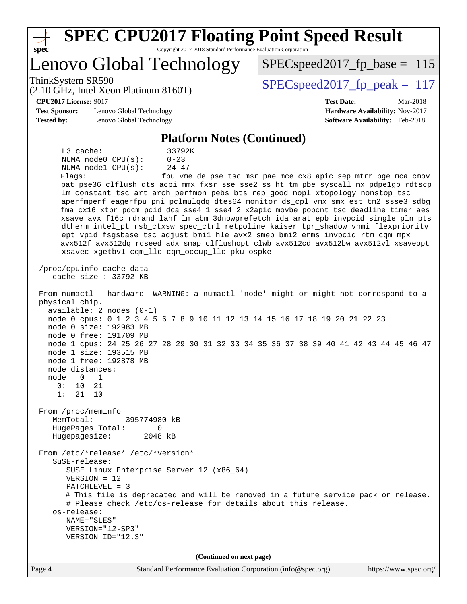| <b>SPEC CPU2017 Floating Point Speed Result</b><br>Copyright 2017-2018 Standard Performance Evaluation Corporation<br>$s\overline{p}\overline{e}\overline{c}$                                                                                                                                                                                                                                                                                                                                                                                                                                                                                                                                                                                                                                                                                                                                                                                                                                                                                                                                                                                                                                                                                                                                                                                                                                                                                                                                                                                                                                                                                                                                                                                                                                                                                                                                                  |                                                                                                            |
|----------------------------------------------------------------------------------------------------------------------------------------------------------------------------------------------------------------------------------------------------------------------------------------------------------------------------------------------------------------------------------------------------------------------------------------------------------------------------------------------------------------------------------------------------------------------------------------------------------------------------------------------------------------------------------------------------------------------------------------------------------------------------------------------------------------------------------------------------------------------------------------------------------------------------------------------------------------------------------------------------------------------------------------------------------------------------------------------------------------------------------------------------------------------------------------------------------------------------------------------------------------------------------------------------------------------------------------------------------------------------------------------------------------------------------------------------------------------------------------------------------------------------------------------------------------------------------------------------------------------------------------------------------------------------------------------------------------------------------------------------------------------------------------------------------------------------------------------------------------------------------------------------------------|------------------------------------------------------------------------------------------------------------|
| Lenovo Global Technology                                                                                                                                                                                                                                                                                                                                                                                                                                                                                                                                                                                                                                                                                                                                                                                                                                                                                                                                                                                                                                                                                                                                                                                                                                                                                                                                                                                                                                                                                                                                                                                                                                                                                                                                                                                                                                                                                       | $SPEC speed2017_fp\_base = 115$                                                                            |
| ThinkSystem SR590<br>$(2.10 \text{ GHz}, \text{Intel Xeon Platinum } 8160 \text{T})$                                                                                                                                                                                                                                                                                                                                                                                                                                                                                                                                                                                                                                                                                                                                                                                                                                                                                                                                                                                                                                                                                                                                                                                                                                                                                                                                                                                                                                                                                                                                                                                                                                                                                                                                                                                                                           | $SPEC speed2017_fp\_peak = 117$                                                                            |
| <b>CPU2017 License: 9017</b><br><b>Test Sponsor:</b><br>Lenovo Global Technology<br><b>Tested by:</b><br>Lenovo Global Technology                                                                                                                                                                                                                                                                                                                                                                                                                                                                                                                                                                                                                                                                                                                                                                                                                                                                                                                                                                                                                                                                                                                                                                                                                                                                                                                                                                                                                                                                                                                                                                                                                                                                                                                                                                              | <b>Test Date:</b><br>Mar-2018<br>Hardware Availability: Nov-2017<br><b>Software Availability:</b> Feb-2018 |
| <b>Platform Notes (Continued)</b>                                                                                                                                                                                                                                                                                                                                                                                                                                                                                                                                                                                                                                                                                                                                                                                                                                                                                                                                                                                                                                                                                                                                                                                                                                                                                                                                                                                                                                                                                                                                                                                                                                                                                                                                                                                                                                                                              |                                                                                                            |
| L3 cache:<br>33792K<br>NUMA node0 CPU(s):<br>$0 - 23$<br>$24 - 47$<br>NUMA nodel CPU(s):<br>Flaqs:<br>pat pse36 clflush dts acpi mmx fxsr sse sse2 ss ht tm pbe syscall nx pdpelgb rdtscp<br>lm constant_tsc art arch_perfmon pebs bts rep_good nopl xtopology nonstop_tsc<br>aperfmperf eagerfpu pni pclmulqdq dtes64 monitor ds_cpl vmx smx est tm2 ssse3 sdbg<br>fma cx16 xtpr pdcm pcid dca sse4_1 sse4_2 x2apic movbe popcnt tsc_deadline_timer aes<br>xsave avx f16c rdrand lahf_lm abm 3dnowprefetch ida arat epb invpcid_single pln pts<br>dtherm intel_pt rsb_ctxsw spec_ctrl retpoline kaiser tpr_shadow vnmi flexpriority<br>ept vpid fsgsbase tsc_adjust bmil hle avx2 smep bmi2 erms invpcid rtm cqm mpx<br>avx512f avx512dq rdseed adx smap clflushopt clwb avx512cd avx512bw avx512vl xsaveopt<br>xsavec xgetbv1 cqm_llc cqm_occup_llc pku ospke<br>/proc/cpuinfo cache data<br>cache size : 33792 KB<br>From numactl --hardware WARNING: a numactl 'node' might or might not correspond to a<br>physical chip.<br>$available: 2 nodes (0-1)$<br>node 0 cpus: 0 1 2 3 4 5 6 7 8 9 10 11 12 13 14 15 16 17 18 19 20 21 22 23<br>node 0 size: 192983 MB<br>node 0 free: 191709 MB<br>node 1 cpus: 24 25 26 27 28 29 30 31 32 33 34 35 36 37 38 39 40 41 42 43 44 45 46 47<br>node 1 size: 193515 MB<br>node 1 free: 192878 MB<br>node distances:<br>node<br>$\mathbf{0}$<br>1<br>21<br>0:<br>10<br>1:<br>21<br>10<br>From /proc/meminfo<br>MemTotal:<br>395774980 kB<br>HugePages_Total:<br>0<br>Hugepagesize:<br>2048 kB<br>From /etc/*release* /etc/*version*<br>SuSE-release:<br>SUSE Linux Enterprise Server 12 (x86_64)<br>$VERSION = 12$<br>$PATCHLEVEL = 3$<br># This file is deprecated and will be removed in a future service pack or release.<br># Please check /etc/os-release for details about this release.<br>os-release:<br>NAME="SLES"<br>VERSION="12-SP3"<br>VERSION_ID="12.3" | fpu vme de pse tsc msr pae mce cx8 apic sep mtrr pge mca cmov                                              |
| (Continued on next page)                                                                                                                                                                                                                                                                                                                                                                                                                                                                                                                                                                                                                                                                                                                                                                                                                                                                                                                                                                                                                                                                                                                                                                                                                                                                                                                                                                                                                                                                                                                                                                                                                                                                                                                                                                                                                                                                                       |                                                                                                            |
| Page 4<br>Standard Performance Evaluation Corporation (info@spec.org)                                                                                                                                                                                                                                                                                                                                                                                                                                                                                                                                                                                                                                                                                                                                                                                                                                                                                                                                                                                                                                                                                                                                                                                                                                                                                                                                                                                                                                                                                                                                                                                                                                                                                                                                                                                                                                          | https://www.spec.org/                                                                                      |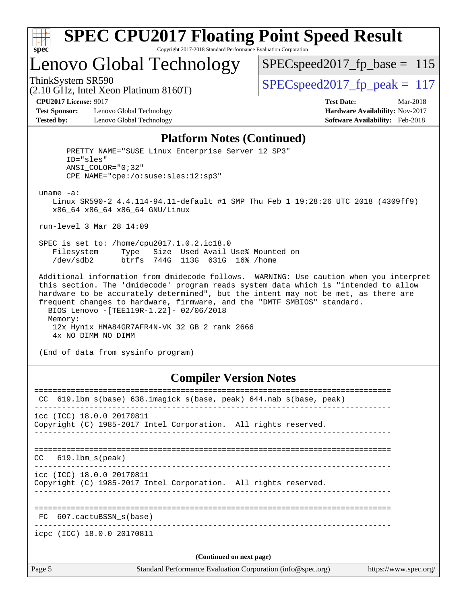

## Lenovo Global Technology

 $SPEC speed2017_fp\_base = 115$ 

(2.10 GHz, Intel Xeon Platinum 8160T)

ThinkSystem SR590  $SPEC speed2017$  fp\_peak = 117

**[Test Sponsor:](http://www.spec.org/auto/cpu2017/Docs/result-fields.html#TestSponsor)** Lenovo Global Technology **[Hardware Availability:](http://www.spec.org/auto/cpu2017/Docs/result-fields.html#HardwareAvailability)** Nov-2017 **[Tested by:](http://www.spec.org/auto/cpu2017/Docs/result-fields.html#Testedby)** Lenovo Global Technology **[Software Availability:](http://www.spec.org/auto/cpu2017/Docs/result-fields.html#SoftwareAvailability)** Feb-2018

**[CPU2017 License:](http://www.spec.org/auto/cpu2017/Docs/result-fields.html#CPU2017License)** 9017 **[Test Date:](http://www.spec.org/auto/cpu2017/Docs/result-fields.html#TestDate)** Mar-2018

#### **[Platform Notes \(Continued\)](http://www.spec.org/auto/cpu2017/Docs/result-fields.html#PlatformNotes)**

 PRETTY\_NAME="SUSE Linux Enterprise Server 12 SP3" ID="sles" ANSI\_COLOR="0;32" CPE\_NAME="cpe:/o:suse:sles:12:sp3" uname -a: Linux SR590-2 4.4.114-94.11-default #1 SMP Thu Feb 1 19:28:26 UTC 2018 (4309ff9) x86\_64 x86\_64 x86\_64 GNU/Linux run-level 3 Mar 28 14:09 SPEC is set to: /home/cpu2017.1.0.2.ic18.0 Filesystem Type Size Used Avail Use% Mounted on /dev/sdb2 btrfs 744G 113G 631G 16% /home Additional information from dmidecode follows. WARNING: Use caution when you interpret this section. The 'dmidecode' program reads system data which is "intended to allow hardware to be accurately determined", but the intent may not be met, as there are frequent changes to hardware, firmware, and the "DMTF SMBIOS" standard. BIOS Lenovo -[TEE119R-1.22]- 02/06/2018 Memory: 12x Hynix HMA84GR7AFR4N-VK 32 GB 2 rank 2666 4x NO DIMM NO DIMM

(End of data from sysinfo program)

#### **[Compiler Version Notes](http://www.spec.org/auto/cpu2017/Docs/result-fields.html#CompilerVersionNotes)**

| CC.    | 619.1bm_s(base) 638.imagick_s(base, peak) 644.nab_s(base, peak)                              |  |  |  |  |  |
|--------|----------------------------------------------------------------------------------------------|--|--|--|--|--|
|        | icc (ICC) 18.0.0 20170811<br>Copyright (C) 1985-2017 Intel Corporation. All rights reserved. |  |  |  |  |  |
| CC     | 619.1bm_s(peak)                                                                              |  |  |  |  |  |
|        | icc (ICC) 18.0.0 20170811<br>Copyright (C) 1985-2017 Intel Corporation. All rights reserved. |  |  |  |  |  |
| FC     | 607.cactuBSSN s(base)                                                                        |  |  |  |  |  |
|        | icpc (ICC) 18.0.0 20170811                                                                   |  |  |  |  |  |
|        | (Continued on next page)                                                                     |  |  |  |  |  |
| Page 5 | Standard Performance Evaluation Corporation (info@spec.org)<br>https://www.spec.org/         |  |  |  |  |  |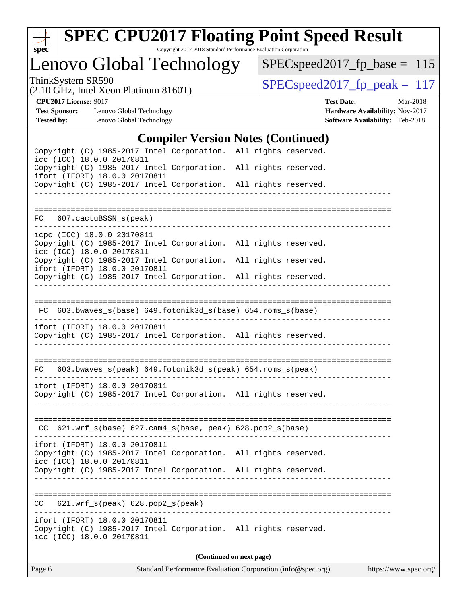

# **[SPEC CPU2017 Floating Point Speed Result](http://www.spec.org/auto/cpu2017/Docs/result-fields.html#SPECCPU2017FloatingPointSpeedResult)**

Copyright 2017-2018 Standard Performance Evaluation Corporation

Lenovo Global Technology

[SPECspeed2017\\_fp\\_base =](http://www.spec.org/auto/cpu2017/Docs/result-fields.html#SPECspeed2017fpbase) 115

(2.10 GHz, Intel Xeon Platinum 8160T)

ThinkSystem SR590<br>  $(2.10 \text{ GHz})$  Intel Xeon Platinum 8160T) [SPECspeed2017\\_fp\\_peak =](http://www.spec.org/auto/cpu2017/Docs/result-fields.html#SPECspeed2017fppeak) 117

**[Test Sponsor:](http://www.spec.org/auto/cpu2017/Docs/result-fields.html#TestSponsor)** Lenovo Global Technology **[Hardware Availability:](http://www.spec.org/auto/cpu2017/Docs/result-fields.html#HardwareAvailability)** Nov-2017 **[Tested by:](http://www.spec.org/auto/cpu2017/Docs/result-fields.html#Testedby)** Lenovo Global Technology **[Software Availability:](http://www.spec.org/auto/cpu2017/Docs/result-fields.html#SoftwareAvailability)** Feb-2018

**[CPU2017 License:](http://www.spec.org/auto/cpu2017/Docs/result-fields.html#CPU2017License)** 9017 **[Test Date:](http://www.spec.org/auto/cpu2017/Docs/result-fields.html#TestDate)** Mar-2018

#### **[Compiler Version Notes \(Continued\)](http://www.spec.org/auto/cpu2017/Docs/result-fields.html#CompilerVersionNotes)**

| Page 6                                                                                                                                                                                        | Standard Performance Evaluation Corporation (info@spec.org) |                                   | https://www.spec.org/ |
|-----------------------------------------------------------------------------------------------------------------------------------------------------------------------------------------------|-------------------------------------------------------------|-----------------------------------|-----------------------|
|                                                                                                                                                                                               | (Continued on next page)                                    |                                   |                       |
| ifort (IFORT) 18.0.0 20170811<br>Copyright (C) 1985-2017 Intel Corporation. All rights reserved.<br>icc (ICC) 18.0.0 20170811                                                                 |                                                             |                                   |                       |
| 621.wrf_s(peak) 628.pop2_s(peak)<br>CC.                                                                                                                                                       |                                                             | _________________________________ |                       |
| Copyright (C) 1985-2017 Intel Corporation. All rights reserved.                                                                                                                               |                                                             |                                   |                       |
| ifort (IFORT) 18.0.0 20170811<br>Copyright (C) 1985-2017 Intel Corporation. All rights reserved.<br>icc (ICC) 18.0.0 20170811                                                                 |                                                             |                                   |                       |
| $CC$ 621.wrf_s(base) 627.cam4_s(base, peak) 628.pop2_s(base)                                                                                                                                  |                                                             |                                   |                       |
| ifort (IFORT) 18.0.0 20170811<br>Copyright (C) 1985-2017 Intel Corporation. All rights reserved.                                                                                              |                                                             |                                   |                       |
| 603.bwaves_s(peak) 649.fotonik3d_s(peak) 654.roms_s(peak)<br>FC                                                                                                                               |                                                             |                                   |                       |
| ifort (IFORT) 18.0.0 20170811<br>Copyright (C) 1985-2017 Intel Corporation. All rights reserved.                                                                                              |                                                             |                                   |                       |
| FC 603.bwaves_s(base) 649.fotonik3d_s(base) 654.roms_s(base)                                                                                                                                  |                                                             |                                   |                       |
| ifort (IFORT) 18.0.0 20170811<br>Copyright (C) 1985-2017 Intel Corporation. All rights reserved.                                                                                              |                                                             |                                   |                       |
| icpc (ICC) 18.0.0 20170811<br>Copyright (C) 1985-2017 Intel Corporation. All rights reserved.<br>icc (ICC) 18.0.0 20170811<br>Copyright (C) 1985-2017 Intel Corporation. All rights reserved. |                                                             |                                   |                       |
| FC 607.cactuBSSN_s(peak)                                                                                                                                                                      |                                                             |                                   |                       |
|                                                                                                                                                                                               |                                                             |                                   |                       |
| Copyright (C) 1985-2017 Intel Corporation. All rights reserved.<br>ifort (IFORT) 18.0.0 20170811<br>Copyright (C) 1985-2017 Intel Corporation. All rights reserved.                           |                                                             |                                   |                       |
| Copyright (C) 1985-2017 Intel Corporation. All rights reserved.<br>icc (ICC) 18.0.0 20170811                                                                                                  |                                                             |                                   |                       |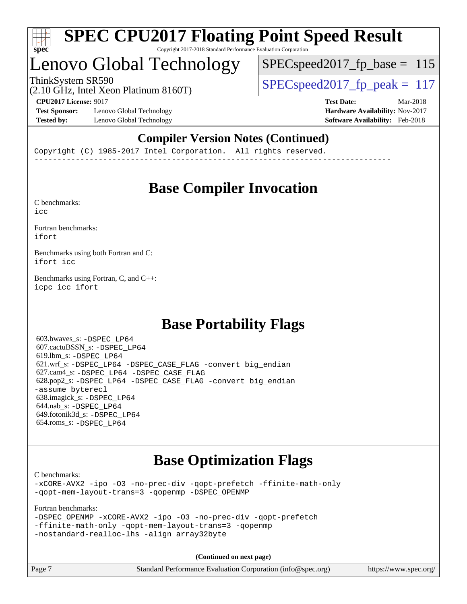

## Lenovo Global Technology

ThinkSystem SR590<br>  $SPEC speed2017$  fp\_peak = 117 SPECspeed2017 fp base =  $115$ 

(2.10 GHz, Intel Xeon Platinum 8160T)

**[Test Sponsor:](http://www.spec.org/auto/cpu2017/Docs/result-fields.html#TestSponsor)** Lenovo Global Technology **[Hardware Availability:](http://www.spec.org/auto/cpu2017/Docs/result-fields.html#HardwareAvailability)** Nov-2017 **[Tested by:](http://www.spec.org/auto/cpu2017/Docs/result-fields.html#Testedby)** Lenovo Global Technology **[Software Availability:](http://www.spec.org/auto/cpu2017/Docs/result-fields.html#SoftwareAvailability)** Feb-2018

**[CPU2017 License:](http://www.spec.org/auto/cpu2017/Docs/result-fields.html#CPU2017License)** 9017 **[Test Date:](http://www.spec.org/auto/cpu2017/Docs/result-fields.html#TestDate)** Mar-2018

### **[Compiler Version Notes \(Continued\)](http://www.spec.org/auto/cpu2017/Docs/result-fields.html#CompilerVersionNotes)**

Copyright (C) 1985-2017 Intel Corporation. All rights reserved. ------------------------------------------------------------------------------

## **[Base Compiler Invocation](http://www.spec.org/auto/cpu2017/Docs/result-fields.html#BaseCompilerInvocation)**

[C benchmarks](http://www.spec.org/auto/cpu2017/Docs/result-fields.html#Cbenchmarks): [icc](http://www.spec.org/cpu2017/results/res2018q2/cpu2017-20180528-05961.flags.html#user_CCbase_intel_icc_18.0_66fc1ee009f7361af1fbd72ca7dcefbb700085f36577c54f309893dd4ec40d12360134090235512931783d35fd58c0460139e722d5067c5574d8eaf2b3e37e92)

[Fortran benchmarks](http://www.spec.org/auto/cpu2017/Docs/result-fields.html#Fortranbenchmarks): [ifort](http://www.spec.org/cpu2017/results/res2018q2/cpu2017-20180528-05961.flags.html#user_FCbase_intel_ifort_18.0_8111460550e3ca792625aed983ce982f94888b8b503583aa7ba2b8303487b4d8a21a13e7191a45c5fd58ff318f48f9492884d4413fa793fd88dd292cad7027ca)

[Benchmarks using both Fortran and C](http://www.spec.org/auto/cpu2017/Docs/result-fields.html#BenchmarksusingbothFortranandC): [ifort](http://www.spec.org/cpu2017/results/res2018q2/cpu2017-20180528-05961.flags.html#user_CC_FCbase_intel_ifort_18.0_8111460550e3ca792625aed983ce982f94888b8b503583aa7ba2b8303487b4d8a21a13e7191a45c5fd58ff318f48f9492884d4413fa793fd88dd292cad7027ca) [icc](http://www.spec.org/cpu2017/results/res2018q2/cpu2017-20180528-05961.flags.html#user_CC_FCbase_intel_icc_18.0_66fc1ee009f7361af1fbd72ca7dcefbb700085f36577c54f309893dd4ec40d12360134090235512931783d35fd58c0460139e722d5067c5574d8eaf2b3e37e92)

[Benchmarks using Fortran, C, and C++:](http://www.spec.org/auto/cpu2017/Docs/result-fields.html#BenchmarksusingFortranCandCXX) [icpc](http://www.spec.org/cpu2017/results/res2018q2/cpu2017-20180528-05961.flags.html#user_CC_CXX_FCbase_intel_icpc_18.0_c510b6838c7f56d33e37e94d029a35b4a7bccf4766a728ee175e80a419847e808290a9b78be685c44ab727ea267ec2f070ec5dc83b407c0218cded6866a35d07) [icc](http://www.spec.org/cpu2017/results/res2018q2/cpu2017-20180528-05961.flags.html#user_CC_CXX_FCbase_intel_icc_18.0_66fc1ee009f7361af1fbd72ca7dcefbb700085f36577c54f309893dd4ec40d12360134090235512931783d35fd58c0460139e722d5067c5574d8eaf2b3e37e92) [ifort](http://www.spec.org/cpu2017/results/res2018q2/cpu2017-20180528-05961.flags.html#user_CC_CXX_FCbase_intel_ifort_18.0_8111460550e3ca792625aed983ce982f94888b8b503583aa7ba2b8303487b4d8a21a13e7191a45c5fd58ff318f48f9492884d4413fa793fd88dd292cad7027ca)

## **[Base Portability Flags](http://www.spec.org/auto/cpu2017/Docs/result-fields.html#BasePortabilityFlags)**

 603.bwaves\_s: [-DSPEC\\_LP64](http://www.spec.org/cpu2017/results/res2018q2/cpu2017-20180528-05961.flags.html#suite_basePORTABILITY603_bwaves_s_DSPEC_LP64) 607.cactuBSSN\_s: [-DSPEC\\_LP64](http://www.spec.org/cpu2017/results/res2018q2/cpu2017-20180528-05961.flags.html#suite_basePORTABILITY607_cactuBSSN_s_DSPEC_LP64) 619.lbm\_s: [-DSPEC\\_LP64](http://www.spec.org/cpu2017/results/res2018q2/cpu2017-20180528-05961.flags.html#suite_basePORTABILITY619_lbm_s_DSPEC_LP64) 621.wrf\_s: [-DSPEC\\_LP64](http://www.spec.org/cpu2017/results/res2018q2/cpu2017-20180528-05961.flags.html#suite_basePORTABILITY621_wrf_s_DSPEC_LP64) [-DSPEC\\_CASE\\_FLAG](http://www.spec.org/cpu2017/results/res2018q2/cpu2017-20180528-05961.flags.html#b621.wrf_s_baseCPORTABILITY_DSPEC_CASE_FLAG) [-convert big\\_endian](http://www.spec.org/cpu2017/results/res2018q2/cpu2017-20180528-05961.flags.html#user_baseFPORTABILITY621_wrf_s_convert_big_endian_c3194028bc08c63ac5d04de18c48ce6d347e4e562e8892b8bdbdc0214820426deb8554edfa529a3fb25a586e65a3d812c835984020483e7e73212c4d31a38223) 627.cam4\_s: [-DSPEC\\_LP64](http://www.spec.org/cpu2017/results/res2018q2/cpu2017-20180528-05961.flags.html#suite_basePORTABILITY627_cam4_s_DSPEC_LP64) [-DSPEC\\_CASE\\_FLAG](http://www.spec.org/cpu2017/results/res2018q2/cpu2017-20180528-05961.flags.html#b627.cam4_s_baseCPORTABILITY_DSPEC_CASE_FLAG) 628.pop2\_s: [-DSPEC\\_LP64](http://www.spec.org/cpu2017/results/res2018q2/cpu2017-20180528-05961.flags.html#suite_basePORTABILITY628_pop2_s_DSPEC_LP64) [-DSPEC\\_CASE\\_FLAG](http://www.spec.org/cpu2017/results/res2018q2/cpu2017-20180528-05961.flags.html#b628.pop2_s_baseCPORTABILITY_DSPEC_CASE_FLAG) [-convert big\\_endian](http://www.spec.org/cpu2017/results/res2018q2/cpu2017-20180528-05961.flags.html#user_baseFPORTABILITY628_pop2_s_convert_big_endian_c3194028bc08c63ac5d04de18c48ce6d347e4e562e8892b8bdbdc0214820426deb8554edfa529a3fb25a586e65a3d812c835984020483e7e73212c4d31a38223) [-assume byterecl](http://www.spec.org/cpu2017/results/res2018q2/cpu2017-20180528-05961.flags.html#user_baseFPORTABILITY628_pop2_s_assume_byterecl_7e47d18b9513cf18525430bbf0f2177aa9bf368bc7a059c09b2c06a34b53bd3447c950d3f8d6c70e3faf3a05c8557d66a5798b567902e8849adc142926523472) 638.imagick\_s: [-DSPEC\\_LP64](http://www.spec.org/cpu2017/results/res2018q2/cpu2017-20180528-05961.flags.html#suite_basePORTABILITY638_imagick_s_DSPEC_LP64) 644.nab\_s: [-DSPEC\\_LP64](http://www.spec.org/cpu2017/results/res2018q2/cpu2017-20180528-05961.flags.html#suite_basePORTABILITY644_nab_s_DSPEC_LP64) 649.fotonik3d\_s: [-DSPEC\\_LP64](http://www.spec.org/cpu2017/results/res2018q2/cpu2017-20180528-05961.flags.html#suite_basePORTABILITY649_fotonik3d_s_DSPEC_LP64) 654.roms\_s: [-DSPEC\\_LP64](http://www.spec.org/cpu2017/results/res2018q2/cpu2017-20180528-05961.flags.html#suite_basePORTABILITY654_roms_s_DSPEC_LP64)

## **[Base Optimization Flags](http://www.spec.org/auto/cpu2017/Docs/result-fields.html#BaseOptimizationFlags)**

[C benchmarks](http://www.spec.org/auto/cpu2017/Docs/result-fields.html#Cbenchmarks):

[-xCORE-AVX2](http://www.spec.org/cpu2017/results/res2018q2/cpu2017-20180528-05961.flags.html#user_CCbase_f-xCORE-AVX2) [-ipo](http://www.spec.org/cpu2017/results/res2018q2/cpu2017-20180528-05961.flags.html#user_CCbase_f-ipo) [-O3](http://www.spec.org/cpu2017/results/res2018q2/cpu2017-20180528-05961.flags.html#user_CCbase_f-O3) [-no-prec-div](http://www.spec.org/cpu2017/results/res2018q2/cpu2017-20180528-05961.flags.html#user_CCbase_f-no-prec-div) [-qopt-prefetch](http://www.spec.org/cpu2017/results/res2018q2/cpu2017-20180528-05961.flags.html#user_CCbase_f-qopt-prefetch) [-ffinite-math-only](http://www.spec.org/cpu2017/results/res2018q2/cpu2017-20180528-05961.flags.html#user_CCbase_f_finite_math_only_cb91587bd2077682c4b38af759c288ed7c732db004271a9512da14a4f8007909a5f1427ecbf1a0fb78ff2a814402c6114ac565ca162485bbcae155b5e4258871) [-qopt-mem-layout-trans=3](http://www.spec.org/cpu2017/results/res2018q2/cpu2017-20180528-05961.flags.html#user_CCbase_f-qopt-mem-layout-trans_de80db37974c74b1f0e20d883f0b675c88c3b01e9d123adea9b28688d64333345fb62bc4a798493513fdb68f60282f9a726aa07f478b2f7113531aecce732043) [-qopenmp](http://www.spec.org/cpu2017/results/res2018q2/cpu2017-20180528-05961.flags.html#user_CCbase_qopenmp_16be0c44f24f464004c6784a7acb94aca937f053568ce72f94b139a11c7c168634a55f6653758ddd83bcf7b8463e8028bb0b48b77bcddc6b78d5d95bb1df2967) [-DSPEC\\_OPENMP](http://www.spec.org/cpu2017/results/res2018q2/cpu2017-20180528-05961.flags.html#suite_CCbase_DSPEC_OPENMP)

[Fortran benchmarks](http://www.spec.org/auto/cpu2017/Docs/result-fields.html#Fortranbenchmarks):

```
-DSPEC_OPENMP -xCORE-AVX2 -ipo -O3 -no-prec-div -qopt-prefetch
-ffinite-math-only -qopt-mem-layout-trans=3 -qopenmp
-nostandard-realloc-lhs -align array32byte
```
**(Continued on next page)**

| Page 7<br>Standard Performance Evaluation Corporation (info@spec.org)<br>https://www.spec.org/ |
|------------------------------------------------------------------------------------------------|
|------------------------------------------------------------------------------------------------|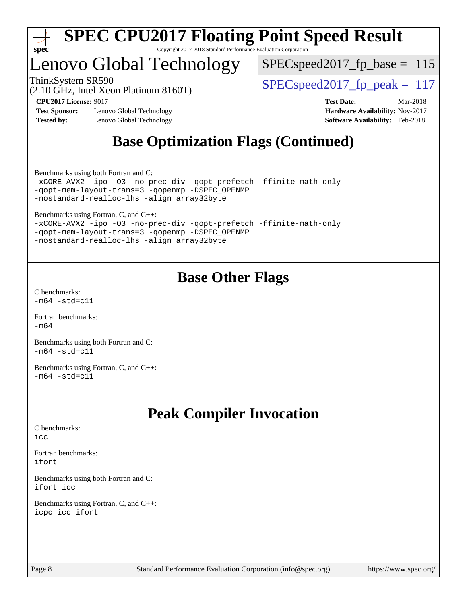

## Lenovo Global Technology

 $SPEC speed2017_fp\_base = 115$ 

(2.10 GHz, Intel Xeon Platinum 8160T)

ThinkSystem SR590<br>  $SPEC speed2017$  fp\_peak = 117

**[Test Sponsor:](http://www.spec.org/auto/cpu2017/Docs/result-fields.html#TestSponsor)** Lenovo Global Technology **[Hardware Availability:](http://www.spec.org/auto/cpu2017/Docs/result-fields.html#HardwareAvailability)** Nov-2017 **[Tested by:](http://www.spec.org/auto/cpu2017/Docs/result-fields.html#Testedby)** Lenovo Global Technology **[Software Availability:](http://www.spec.org/auto/cpu2017/Docs/result-fields.html#SoftwareAvailability)** Feb-2018

**[CPU2017 License:](http://www.spec.org/auto/cpu2017/Docs/result-fields.html#CPU2017License)** 9017 **[Test Date:](http://www.spec.org/auto/cpu2017/Docs/result-fields.html#TestDate)** Mar-2018

## **[Base Optimization Flags \(Continued\)](http://www.spec.org/auto/cpu2017/Docs/result-fields.html#BaseOptimizationFlags)**

[Benchmarks using both Fortran and C](http://www.spec.org/auto/cpu2017/Docs/result-fields.html#BenchmarksusingbothFortranandC):

```
-xCORE-AVX2 -ipo -O3 -no-prec-div -qopt-prefetch -ffinite-math-only
-qopt-mem-layout-trans=3 -qopenmp -DSPEC_OPENMP
-nostandard-realloc-lhs -align array32byte
```
[Benchmarks using Fortran, C, and C++:](http://www.spec.org/auto/cpu2017/Docs/result-fields.html#BenchmarksusingFortranCandCXX)

|  |                                            |                                                 | -xCORE-AVX2 -ipo -03 -no-prec-div -qopt-prefetch -ffinite-math-only |
|--|--------------------------------------------|-------------------------------------------------|---------------------------------------------------------------------|
|  |                                            | -gopt-mem-layout-trans=3 -gopenmp -DSPEC OPENMP |                                                                     |
|  | -nostandard-realloc-lhs -align array32byte |                                                 |                                                                     |

## **[Base Other Flags](http://www.spec.org/auto/cpu2017/Docs/result-fields.html#BaseOtherFlags)**

[C benchmarks](http://www.spec.org/auto/cpu2017/Docs/result-fields.html#Cbenchmarks):  $-m64 - std = c11$  $-m64 - std = c11$ 

[Fortran benchmarks](http://www.spec.org/auto/cpu2017/Docs/result-fields.html#Fortranbenchmarks): [-m64](http://www.spec.org/cpu2017/results/res2018q2/cpu2017-20180528-05961.flags.html#user_FCbase_intel_intel64_18.0_af43caccfc8ded86e7699f2159af6efc7655f51387b94da716254467f3c01020a5059329e2569e4053f409e7c9202a7efc638f7a6d1ffb3f52dea4a3e31d82ab)

[Benchmarks using both Fortran and C](http://www.spec.org/auto/cpu2017/Docs/result-fields.html#BenchmarksusingbothFortranandC):  $-m64 - std = c11$  $-m64 - std = c11$ 

[Benchmarks using Fortran, C, and C++:](http://www.spec.org/auto/cpu2017/Docs/result-fields.html#BenchmarksusingFortranCandCXX)  $-m64 - std = c11$  $-m64 - std = c11$ 

## **[Peak Compiler Invocation](http://www.spec.org/auto/cpu2017/Docs/result-fields.html#PeakCompilerInvocation)**

[C benchmarks](http://www.spec.org/auto/cpu2017/Docs/result-fields.html#Cbenchmarks):  $i$ cc

[Fortran benchmarks](http://www.spec.org/auto/cpu2017/Docs/result-fields.html#Fortranbenchmarks): [ifort](http://www.spec.org/cpu2017/results/res2018q2/cpu2017-20180528-05961.flags.html#user_FCpeak_intel_ifort_18.0_8111460550e3ca792625aed983ce982f94888b8b503583aa7ba2b8303487b4d8a21a13e7191a45c5fd58ff318f48f9492884d4413fa793fd88dd292cad7027ca)

[Benchmarks using both Fortran and C](http://www.spec.org/auto/cpu2017/Docs/result-fields.html#BenchmarksusingbothFortranandC): [ifort](http://www.spec.org/cpu2017/results/res2018q2/cpu2017-20180528-05961.flags.html#user_CC_FCpeak_intel_ifort_18.0_8111460550e3ca792625aed983ce982f94888b8b503583aa7ba2b8303487b4d8a21a13e7191a45c5fd58ff318f48f9492884d4413fa793fd88dd292cad7027ca) [icc](http://www.spec.org/cpu2017/results/res2018q2/cpu2017-20180528-05961.flags.html#user_CC_FCpeak_intel_icc_18.0_66fc1ee009f7361af1fbd72ca7dcefbb700085f36577c54f309893dd4ec40d12360134090235512931783d35fd58c0460139e722d5067c5574d8eaf2b3e37e92)

[Benchmarks using Fortran, C, and C++:](http://www.spec.org/auto/cpu2017/Docs/result-fields.html#BenchmarksusingFortranCandCXX) [icpc](http://www.spec.org/cpu2017/results/res2018q2/cpu2017-20180528-05961.flags.html#user_CC_CXX_FCpeak_intel_icpc_18.0_c510b6838c7f56d33e37e94d029a35b4a7bccf4766a728ee175e80a419847e808290a9b78be685c44ab727ea267ec2f070ec5dc83b407c0218cded6866a35d07) [icc](http://www.spec.org/cpu2017/results/res2018q2/cpu2017-20180528-05961.flags.html#user_CC_CXX_FCpeak_intel_icc_18.0_66fc1ee009f7361af1fbd72ca7dcefbb700085f36577c54f309893dd4ec40d12360134090235512931783d35fd58c0460139e722d5067c5574d8eaf2b3e37e92) [ifort](http://www.spec.org/cpu2017/results/res2018q2/cpu2017-20180528-05961.flags.html#user_CC_CXX_FCpeak_intel_ifort_18.0_8111460550e3ca792625aed983ce982f94888b8b503583aa7ba2b8303487b4d8a21a13e7191a45c5fd58ff318f48f9492884d4413fa793fd88dd292cad7027ca)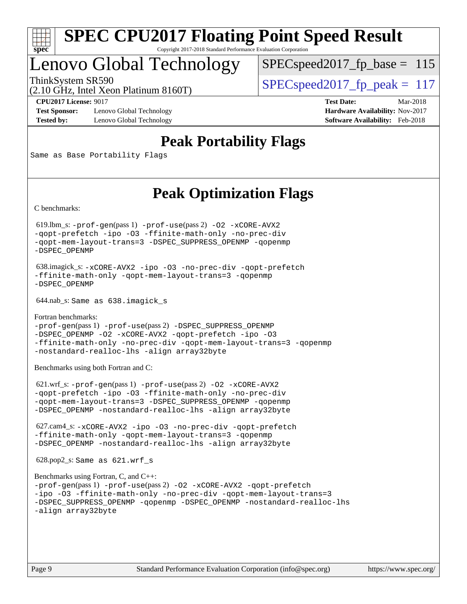

## Lenovo Global Technology

 $SPECspeed2017_fp\_base = 115$ 

(2.10 GHz, Intel Xeon Platinum 8160T)

ThinkSystem SR590<br>  $SPEC speed2017$  fp\_peak = 117

**[Test Sponsor:](http://www.spec.org/auto/cpu2017/Docs/result-fields.html#TestSponsor)** Lenovo Global Technology **[Hardware Availability:](http://www.spec.org/auto/cpu2017/Docs/result-fields.html#HardwareAvailability)** Nov-2017 **[Tested by:](http://www.spec.org/auto/cpu2017/Docs/result-fields.html#Testedby)** Lenovo Global Technology **[Software Availability:](http://www.spec.org/auto/cpu2017/Docs/result-fields.html#SoftwareAvailability)** Feb-2018

**[CPU2017 License:](http://www.spec.org/auto/cpu2017/Docs/result-fields.html#CPU2017License)** 9017 **[Test Date:](http://www.spec.org/auto/cpu2017/Docs/result-fields.html#TestDate)** Mar-2018

## **[Peak Portability Flags](http://www.spec.org/auto/cpu2017/Docs/result-fields.html#PeakPortabilityFlags)**

Same as Base Portability Flags

## **[Peak Optimization Flags](http://www.spec.org/auto/cpu2017/Docs/result-fields.html#PeakOptimizationFlags)**

[C benchmarks](http://www.spec.org/auto/cpu2017/Docs/result-fields.html#Cbenchmarks):

 619.lbm\_s: [-prof-gen](http://www.spec.org/cpu2017/results/res2018q2/cpu2017-20180528-05961.flags.html#user_peakPASS1_CFLAGSPASS1_LDFLAGS619_lbm_s_prof_gen_5aa4926d6013ddb2a31985c654b3eb18169fc0c6952a63635c234f711e6e63dd76e94ad52365559451ec499a2cdb89e4dc58ba4c67ef54ca681ffbe1461d6b36)(pass 1) [-prof-use](http://www.spec.org/cpu2017/results/res2018q2/cpu2017-20180528-05961.flags.html#user_peakPASS2_CFLAGSPASS2_LDFLAGS619_lbm_s_prof_use_1a21ceae95f36a2b53c25747139a6c16ca95bd9def2a207b4f0849963b97e94f5260e30a0c64f4bb623698870e679ca08317ef8150905d41bd88c6f78df73f19)(pass 2) [-O2](http://www.spec.org/cpu2017/results/res2018q2/cpu2017-20180528-05961.flags.html#user_peakPASS1_COPTIMIZE619_lbm_s_f-O2) [-xCORE-AVX2](http://www.spec.org/cpu2017/results/res2018q2/cpu2017-20180528-05961.flags.html#user_peakPASS2_COPTIMIZE619_lbm_s_f-xCORE-AVX2) [-qopt-prefetch](http://www.spec.org/cpu2017/results/res2018q2/cpu2017-20180528-05961.flags.html#user_peakPASS1_COPTIMIZEPASS2_COPTIMIZE619_lbm_s_f-qopt-prefetch) [-ipo](http://www.spec.org/cpu2017/results/res2018q2/cpu2017-20180528-05961.flags.html#user_peakPASS2_COPTIMIZE619_lbm_s_f-ipo) [-O3](http://www.spec.org/cpu2017/results/res2018q2/cpu2017-20180528-05961.flags.html#user_peakPASS2_COPTIMIZE619_lbm_s_f-O3) [-ffinite-math-only](http://www.spec.org/cpu2017/results/res2018q2/cpu2017-20180528-05961.flags.html#user_peakPASS1_COPTIMIZEPASS2_COPTIMIZE619_lbm_s_f_finite_math_only_cb91587bd2077682c4b38af759c288ed7c732db004271a9512da14a4f8007909a5f1427ecbf1a0fb78ff2a814402c6114ac565ca162485bbcae155b5e4258871) [-no-prec-div](http://www.spec.org/cpu2017/results/res2018q2/cpu2017-20180528-05961.flags.html#user_peakPASS2_COPTIMIZE619_lbm_s_f-no-prec-div) [-qopt-mem-layout-trans=3](http://www.spec.org/cpu2017/results/res2018q2/cpu2017-20180528-05961.flags.html#user_peakPASS1_COPTIMIZEPASS2_COPTIMIZE619_lbm_s_f-qopt-mem-layout-trans_de80db37974c74b1f0e20d883f0b675c88c3b01e9d123adea9b28688d64333345fb62bc4a798493513fdb68f60282f9a726aa07f478b2f7113531aecce732043) [-DSPEC\\_SUPPRESS\\_OPENMP](http://www.spec.org/cpu2017/results/res2018q2/cpu2017-20180528-05961.flags.html#suite_peakPASS1_COPTIMIZE619_lbm_s_DSPEC_SUPPRESS_OPENMP) [-qopenmp](http://www.spec.org/cpu2017/results/res2018q2/cpu2017-20180528-05961.flags.html#user_peakPASS2_COPTIMIZE619_lbm_s_qopenmp_16be0c44f24f464004c6784a7acb94aca937f053568ce72f94b139a11c7c168634a55f6653758ddd83bcf7b8463e8028bb0b48b77bcddc6b78d5d95bb1df2967) [-DSPEC\\_OPENMP](http://www.spec.org/cpu2017/results/res2018q2/cpu2017-20180528-05961.flags.html#suite_peakPASS2_COPTIMIZE619_lbm_s_DSPEC_OPENMP)

```
 638.imagick_s: -xCORE-AVX2 -ipo -O3 -no-prec-div -qopt-prefetch
-ffinite-math-only -qopt-mem-layout-trans=3 -qopenmp
-DSPEC_OPENMP
```
644.nab\_s: Same as 638.imagick\_s

```
Fortran benchmarks: 
-prof-gen(pass 1) -prof-use(pass 2) -DSPEC_SUPPRESS_OPENMP
-DSPEC_OPENMP -O2 -xCORE-AVX2 -qopt-prefetch -ipo -O3
-ffinite-math-only -no-prec-div -qopt-mem-layout-trans=3 -qopenmp
-nostandard-realloc-lhs -align array32byte
```
[Benchmarks using both Fortran and C](http://www.spec.org/auto/cpu2017/Docs/result-fields.html#BenchmarksusingbothFortranandC):

 621.wrf\_s: [-prof-gen](http://www.spec.org/cpu2017/results/res2018q2/cpu2017-20180528-05961.flags.html#user_peakPASS1_CFLAGSPASS1_FFLAGSPASS1_LDFLAGS621_wrf_s_prof_gen_5aa4926d6013ddb2a31985c654b3eb18169fc0c6952a63635c234f711e6e63dd76e94ad52365559451ec499a2cdb89e4dc58ba4c67ef54ca681ffbe1461d6b36)(pass 1) [-prof-use](http://www.spec.org/cpu2017/results/res2018q2/cpu2017-20180528-05961.flags.html#user_peakPASS2_CFLAGSPASS2_FFLAGSPASS2_LDFLAGS621_wrf_s_prof_use_1a21ceae95f36a2b53c25747139a6c16ca95bd9def2a207b4f0849963b97e94f5260e30a0c64f4bb623698870e679ca08317ef8150905d41bd88c6f78df73f19)(pass 2) [-O2](http://www.spec.org/cpu2017/results/res2018q2/cpu2017-20180528-05961.flags.html#user_peakPASS1_COPTIMIZEPASS1_FOPTIMIZE621_wrf_s_f-O2) [-xCORE-AVX2](http://www.spec.org/cpu2017/results/res2018q2/cpu2017-20180528-05961.flags.html#user_peakPASS2_COPTIMIZEPASS2_FOPTIMIZE621_wrf_s_f-xCORE-AVX2) [-qopt-prefetch](http://www.spec.org/cpu2017/results/res2018q2/cpu2017-20180528-05961.flags.html#user_peakPASS1_COPTIMIZEPASS1_FOPTIMIZEPASS2_COPTIMIZEPASS2_FOPTIMIZE621_wrf_s_f-qopt-prefetch) [-ipo](http://www.spec.org/cpu2017/results/res2018q2/cpu2017-20180528-05961.flags.html#user_peakPASS2_COPTIMIZEPASS2_FOPTIMIZE621_wrf_s_f-ipo) [-O3](http://www.spec.org/cpu2017/results/res2018q2/cpu2017-20180528-05961.flags.html#user_peakPASS2_COPTIMIZEPASS2_FOPTIMIZE621_wrf_s_f-O3) [-ffinite-math-only](http://www.spec.org/cpu2017/results/res2018q2/cpu2017-20180528-05961.flags.html#user_peakPASS1_COPTIMIZEPASS1_FOPTIMIZEPASS2_COPTIMIZEPASS2_FOPTIMIZE621_wrf_s_f_finite_math_only_cb91587bd2077682c4b38af759c288ed7c732db004271a9512da14a4f8007909a5f1427ecbf1a0fb78ff2a814402c6114ac565ca162485bbcae155b5e4258871) [-no-prec-div](http://www.spec.org/cpu2017/results/res2018q2/cpu2017-20180528-05961.flags.html#user_peakPASS2_COPTIMIZEPASS2_FOPTIMIZE621_wrf_s_f-no-prec-div) [-qopt-mem-layout-trans=3](http://www.spec.org/cpu2017/results/res2018q2/cpu2017-20180528-05961.flags.html#user_peakPASS1_COPTIMIZEPASS1_FOPTIMIZEPASS2_COPTIMIZEPASS2_FOPTIMIZE621_wrf_s_f-qopt-mem-layout-trans_de80db37974c74b1f0e20d883f0b675c88c3b01e9d123adea9b28688d64333345fb62bc4a798493513fdb68f60282f9a726aa07f478b2f7113531aecce732043) [-DSPEC\\_SUPPRESS\\_OPENMP](http://www.spec.org/cpu2017/results/res2018q2/cpu2017-20180528-05961.flags.html#suite_peakPASS1_COPTIMIZEPASS1_FOPTIMIZE621_wrf_s_DSPEC_SUPPRESS_OPENMP) [-qopenmp](http://www.spec.org/cpu2017/results/res2018q2/cpu2017-20180528-05961.flags.html#user_peakPASS2_COPTIMIZEPASS2_FOPTIMIZE621_wrf_s_qopenmp_16be0c44f24f464004c6784a7acb94aca937f053568ce72f94b139a11c7c168634a55f6653758ddd83bcf7b8463e8028bb0b48b77bcddc6b78d5d95bb1df2967) [-DSPEC\\_OPENMP](http://www.spec.org/cpu2017/results/res2018q2/cpu2017-20180528-05961.flags.html#suite_peakPASS2_COPTIMIZEPASS2_FOPTIMIZE621_wrf_s_DSPEC_OPENMP) [-nostandard-realloc-lhs](http://www.spec.org/cpu2017/results/res2018q2/cpu2017-20180528-05961.flags.html#user_peakEXTRA_FOPTIMIZE621_wrf_s_f_2003_std_realloc_82b4557e90729c0f113870c07e44d33d6f5a304b4f63d4c15d2d0f1fab99f5daaed73bdb9275d9ae411527f28b936061aa8b9c8f2d63842963b95c9dd6426b8a) [-align array32byte](http://www.spec.org/cpu2017/results/res2018q2/cpu2017-20180528-05961.flags.html#user_peakEXTRA_FOPTIMIZE621_wrf_s_align_array32byte_b982fe038af199962ba9a80c053b8342c548c85b40b8e86eb3cc33dee0d7986a4af373ac2d51c3f7cf710a18d62fdce2948f201cd044323541f22fc0fffc51b6)

 627.cam4\_s: [-xCORE-AVX2](http://www.spec.org/cpu2017/results/res2018q2/cpu2017-20180528-05961.flags.html#user_peakCOPTIMIZEFOPTIMIZE627_cam4_s_f-xCORE-AVX2) [-ipo](http://www.spec.org/cpu2017/results/res2018q2/cpu2017-20180528-05961.flags.html#user_peakCOPTIMIZEFOPTIMIZE627_cam4_s_f-ipo) [-O3](http://www.spec.org/cpu2017/results/res2018q2/cpu2017-20180528-05961.flags.html#user_peakCOPTIMIZEFOPTIMIZE627_cam4_s_f-O3) [-no-prec-div](http://www.spec.org/cpu2017/results/res2018q2/cpu2017-20180528-05961.flags.html#user_peakCOPTIMIZEFOPTIMIZE627_cam4_s_f-no-prec-div) [-qopt-prefetch](http://www.spec.org/cpu2017/results/res2018q2/cpu2017-20180528-05961.flags.html#user_peakCOPTIMIZEFOPTIMIZE627_cam4_s_f-qopt-prefetch) [-ffinite-math-only](http://www.spec.org/cpu2017/results/res2018q2/cpu2017-20180528-05961.flags.html#user_peakCOPTIMIZEFOPTIMIZE627_cam4_s_f_finite_math_only_cb91587bd2077682c4b38af759c288ed7c732db004271a9512da14a4f8007909a5f1427ecbf1a0fb78ff2a814402c6114ac565ca162485bbcae155b5e4258871) [-qopt-mem-layout-trans=3](http://www.spec.org/cpu2017/results/res2018q2/cpu2017-20180528-05961.flags.html#user_peakCOPTIMIZEFOPTIMIZE627_cam4_s_f-qopt-mem-layout-trans_de80db37974c74b1f0e20d883f0b675c88c3b01e9d123adea9b28688d64333345fb62bc4a798493513fdb68f60282f9a726aa07f478b2f7113531aecce732043) [-qopenmp](http://www.spec.org/cpu2017/results/res2018q2/cpu2017-20180528-05961.flags.html#user_peakCOPTIMIZEFOPTIMIZE627_cam4_s_qopenmp_16be0c44f24f464004c6784a7acb94aca937f053568ce72f94b139a11c7c168634a55f6653758ddd83bcf7b8463e8028bb0b48b77bcddc6b78d5d95bb1df2967) [-DSPEC\\_OPENMP](http://www.spec.org/cpu2017/results/res2018q2/cpu2017-20180528-05961.flags.html#suite_peakCOPTIMIZEFOPTIMIZE627_cam4_s_DSPEC_OPENMP) [-nostandard-realloc-lhs](http://www.spec.org/cpu2017/results/res2018q2/cpu2017-20180528-05961.flags.html#user_peakEXTRA_FOPTIMIZE627_cam4_s_f_2003_std_realloc_82b4557e90729c0f113870c07e44d33d6f5a304b4f63d4c15d2d0f1fab99f5daaed73bdb9275d9ae411527f28b936061aa8b9c8f2d63842963b95c9dd6426b8a) [-align array32byte](http://www.spec.org/cpu2017/results/res2018q2/cpu2017-20180528-05961.flags.html#user_peakEXTRA_FOPTIMIZE627_cam4_s_align_array32byte_b982fe038af199962ba9a80c053b8342c548c85b40b8e86eb3cc33dee0d7986a4af373ac2d51c3f7cf710a18d62fdce2948f201cd044323541f22fc0fffc51b6)

628.pop2\_s: Same as 621.wrf\_s

```
Benchmarks using Fortran, C, and C++: 
-prof-gen(pass 1) -prof-use(pass 2) -O2 -xCORE-AVX2 -qopt-prefetch
-ipo -O3 -ffinite-math-only -no-prec-div -qopt-mem-layout-trans=3
-DSPEC_SUPPRESS_OPENMP -qopenmp -DSPEC_OPENMP -nostandard-realloc-lhs
-align array32byte
```